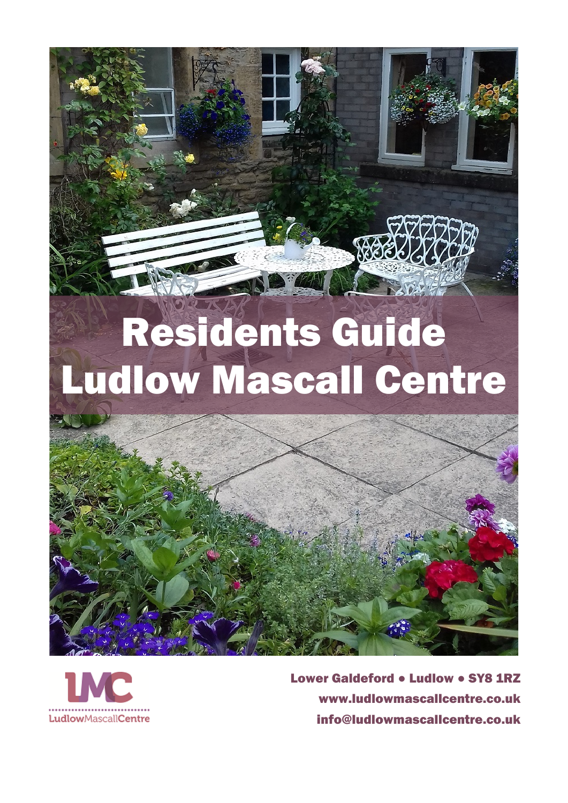



Lower Galdeford • Ludlow • SY8 1RZ [www.ludlowmascallcentre.co.uk](http://www.ludlowmascallcentre.co.uk/) [info@ludlowmascallcentre.co.uk](mailto:info@ludlowmascallcentre.co.uk)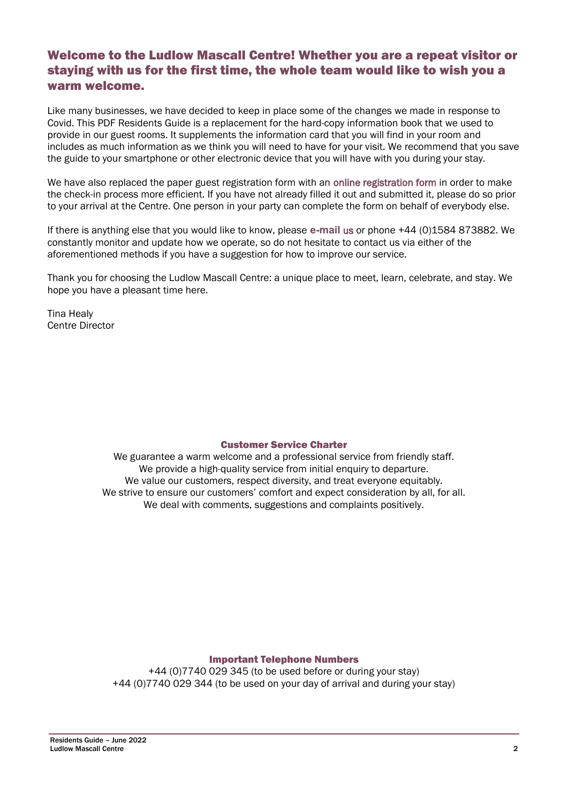## Welcome to the Ludlow Mascall Centre! Whether you are a repeat visitor or staying with us for the first time, the whole team would like to wish you a warm welcome.

Like many businesses, we have decided to keep in place some of the changes we made in response to Covid. This PDF Residents Guide is a replacement for the hard-copy information book that we used to provide in our guest rooms. It supplements the information card that you will find in your room and includes as much information as we think you will need to have for your visit. We recommend that you save the guide to your smartphone or other electronic device that you will have with you during your stay.

We have also replaced the paper guest registration form with an [online registration form](https://forms.gle/6yNRM65UPTeTKWYq5) in order to make the check-in process more efficient. If you have not already filled it out and submitted it, please do so prior to your arrival at the Centre. One person in your party can complete the form on behalf of everybody else.

If there is anything else that you would like to know, please **[e-mail](mailto:marketing@ludlowmascallcentre.co.uk?subject=My%20stay%20at%20the%20Mascall%20Centre)** us or phone +44 (0)1584 873882. We constantly monitor and update how we operate, so do not hesitate to contact us via either of the aforementioned methods if you have a suggestion for how to improve our service.

Thank you for choosing the Ludlow Mascall Centre: a unique place to meet, learn, celebrate, and stay. We hope you have a pleasant time here.

Tina Healy Centre Director

## Customer Service Charter

We guarantee a warm welcome and a professional service from friendly staff. We provide a high-quality service from initial enquiry to departure. We value our customers, respect diversity, and treat everyone equitably. We strive to ensure our customers' comfort and expect consideration by all, for all. We deal with comments, suggestions and complaints positively.

#### Important Telephone Numbers

+44 (0)7740 029 345 (to be used before or during your stay) +44 (0)7740 029 344 (to be used on your day of arrival and during your stay)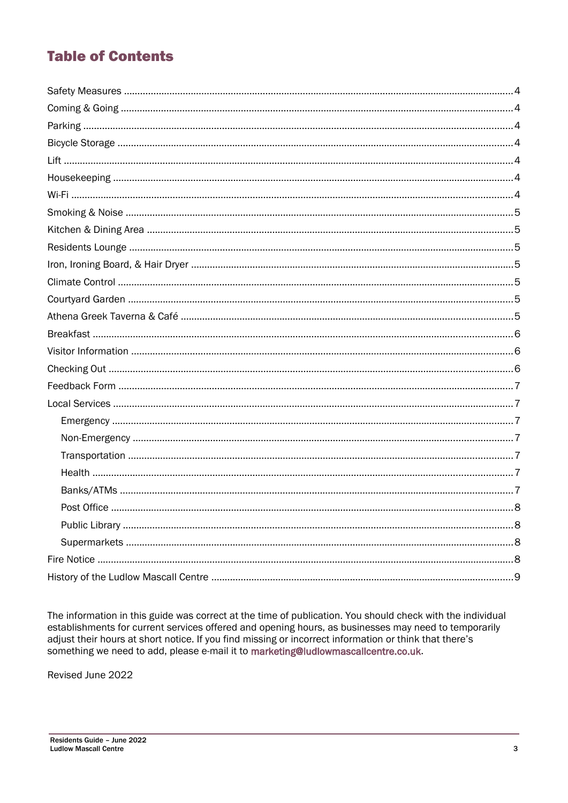# **Table of Contents**

<span id="page-2-1"></span>

<span id="page-2-0"></span>The information in this guide was correct at the time of publication. You should check with the individual establishments for current services offered and opening hours, as businesses may need to temporarily adjust their hours at short notice. If you find missing or incorrect information or think that there's something we need to add, please e-mail it to marketing@ludlowmascallcentre.co.uk.

Revised June 2022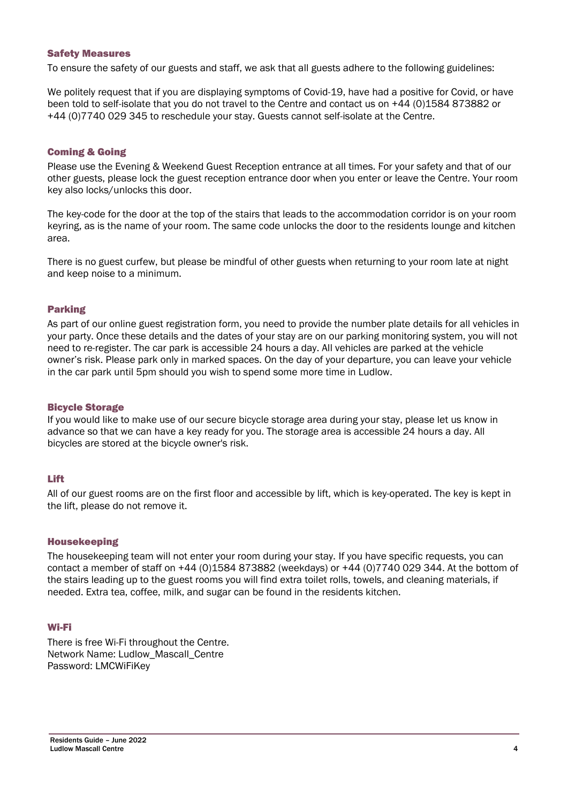#### <span id="page-3-5"></span>Safety Measures

To ensure the safety of our guests and staff, we ask that all guests adhere to the following guidelines:

We politely request that if you are displaying symptoms of Covid-19, have had a positive for Covid, or have been told to self-isolate that you do not travel to the Centre and contact us on +44 (0)1584 873882 or +44 (0)7740 029 345 to reschedule your stay. Guests cannot self-isolate at the Centre.

#### <span id="page-3-4"></span>Coming & Going

Please use the Evening & Weekend Guest Reception entrance at all times. For your safety and that of our other guests, please lock the guest reception entrance door when you enter or leave the Centre. Your room key also locks/unlocks this door.

The key-code for the door at the top of the stairs that leads to the accommodation corridor is on your room keyring, as is the name of your room. The same code unlocks the door to the residents lounge and kitchen area.

There is no guest curfew, but please be mindful of other guests when returning to your room late at night and keep noise to a minimum.

## <span id="page-3-3"></span>Parking

As part of our online guest registration form, you need to provide the number plate details for all vehicles in your party. Once these details and the dates of your stay are on our parking monitoring system, you will not need to re-register. The car park is accessible 24 hours a day. All vehicles are parked at the vehicle owner's risk. Please park only in marked spaces. On the day of your departure, you can leave your vehicle in the car park until 5pm should you wish to spend some more time in Ludlow.

#### Bicycle Storage

If you would like to make use of our secure bicycle storage area during your stay, please let us know in advance so that we can have a key ready for you. The storage area is accessible 24 hours a day. All bicycles are stored at the bicycle owner's risk.

## <span id="page-3-2"></span>Lift

All of our guest rooms are on the first floor and accessible by lift, which is key-operated. The key is kept in the lift, please do not remove it.

#### <span id="page-3-1"></span>Housekeeping

The housekeeping team will not enter your room during your stay. If you have specific requests, you can contact a member of staff on +44 (0)1584 873882 (weekdays) or +44 (0)7740 029 344. At the bottom of the stairs leading up to the guest rooms you will find extra toilet rolls, towels, and cleaning materials, if needed. Extra tea, coffee, milk, and sugar can be found in the residents kitchen.

#### <span id="page-3-0"></span>Wi-Fi

There is free Wi-Fi throughout the Centre. Network Name: Ludlow\_Mascall\_Centre Password: LMCWiFiKey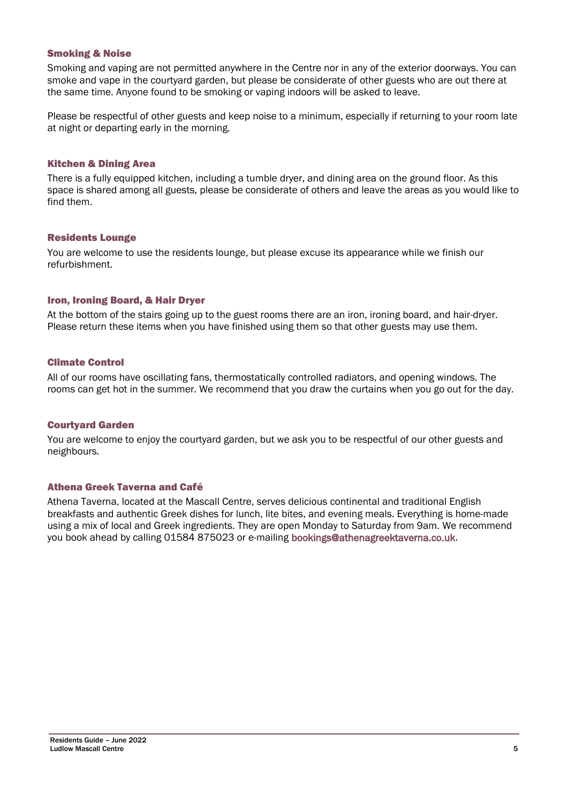#### <span id="page-4-3"></span>Smoking & Noise

Smoking and vaping are not permitted anywhere in the Centre nor in any of the exterior doorways. You can smoke and vape in the courtyard garden, but please be considerate of other guests who are out there at the same time. Anyone found to be smoking or vaping indoors will be asked to leave.

Please be respectful of other guests and keep noise to a minimum, especially if returning to your room late at night or departing early in the morning.

#### Kitchen & Dining Area

There is a fully equipped kitchen, including a tumble dryer, and dining area on the ground floor. As this space is shared among all guests, please be considerate of others and leave the areas as you would like to find them.

#### Residents Lounge

You are welcome to use the residents lounge, but please excuse its appearance while we finish our refurbishment.

## <span id="page-4-2"></span>Iron, Ironing Board, & Hair Dryer

At the bottom of the stairs going up to the guest rooms there are an iron, ironing board, and hair-dryer. Please return these items when you have finished using them so that other guests may use them.

#### <span id="page-4-1"></span>Climate Control

All of our rooms have oscillating fans, thermostatically controlled radiators, and opening windows. The rooms can get hot in the summer. We recommend that you draw the curtains when you go out for the day.

#### <span id="page-4-0"></span>Courtyard Garden

You are welcome to enjoy the courtyard garden, but we ask you to be respectful of our other guests and neighbours.

#### Athena Greek Taverna and Café

Athena Taverna, located at the Mascall Centre, serves delicious continental and traditional English breakfasts and authentic Greek dishes for lunch, lite bites, and evening meals. Everything is home-made using a mix of local and Greek ingredients. They are open Monday to Saturday from 9am. We recommend you book ahead by calling 01584 875023 or e-mailing bookings@athenagreektaverna.co.uk.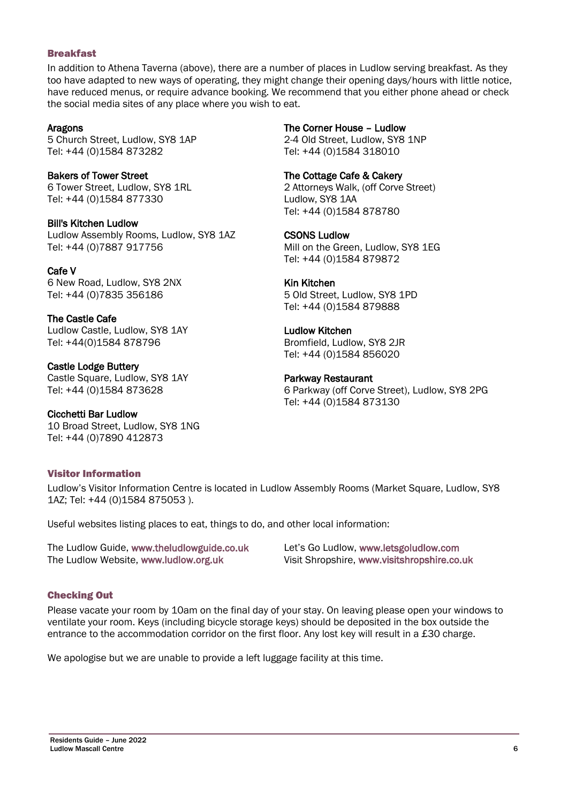## <span id="page-5-2"></span>Breakfast

In addition to Athena Taverna (above), there are a number of places in Ludlow serving breakfast. As they too have adapted to new ways of operating, they might change their opening days/hours with little notice, have reduced menus, or require advance booking. We recommend that you either phone ahead or check the social media sites of any place where you wish to eat.

## Aragons

5 Church Street, Ludlow, SY8 1AP Tel: +44 (0)1584 873282

Bakers of Tower Street 6 Tower Street, Ludlow, SY8 1RL Tel: +44 (0)1584 877330

Bill's Kitchen Ludlow Ludlow Assembly Rooms, Ludlow, SY8 1AZ Tel: +44 (0)7887 917756

Cafe V 6 New Road, Ludlow, SY8 2NX Tel: +44 (0)7835 356186

The Castle Cafe Ludlow Castle, Ludlow, SY8 1AY Tel: +44(0)1584 878796

Castle Lodge Buttery Castle Square, Ludlow, SY8 1AY Tel: +44 (0)1584 873628

Cicchetti Bar Ludlow 10 Broad Street, Ludlow, SY8 1NG Tel: +44 (0)7890 412873

## <span id="page-5-1"></span>Visitor Information

The Corner House – Ludlow 2-4 Old Street, Ludlow, SY8 1NP

Tel: +44 (0)1584 318010

The Cottage Cafe & Cakery

2 Attorneys Walk, (off Corve Street) Ludlow, SY8 1AA Tel: +44 (0)1584 878780

## CSONS Ludlow

Mill on the Green, Ludlow, SY8 1EG Tel: +44 (0)1584 879872

## Kin Kitchen

5 Old Street, Ludlow, SY8 1PD Tel: +44 (0)1584 879888

## Ludlow Kitchen

Bromfield, Ludlow, SY8 2JR Tel: +44 (0)1584 856020

## Parkway Restaurant

6 Parkway (off Corve Street), Ludlow, SY8 2PG Tel: +44 (0)1584 873130

Ludlow's Visitor Information Centre is located in Ludlow Assembly Rooms (Market Square, Ludlow, SY8 1AZ; Tel: +44 (0)1584 875053 ).

Useful websites listing places to eat, things to do, and other local information:

The Ludlow Guide, [www.theludlowguide.co.uk](http://www.theludlowguide.co.uk/) The Ludlow Website, [www.ludlow.org.uk](http://www.ludlow.org.uk/)

Let's Go Ludlow, [www.letsgoludlow.com](http://www.letsgoludlow.com/) Visit Shropshire, [www.visitshropshire.co.uk](http://www.visitshropshire.co.uk/)

## <span id="page-5-0"></span>Checking Out

Please vacate your room by 10am on the final day of your stay. On leaving please open your windows to ventilate your room. Keys (including bicycle storage keys) should be deposited in the box outside the entrance to the accommodation corridor on the first floor. Any lost key will result in a £30 charge.

We apologise but we are unable to provide a left luggage facility at this time.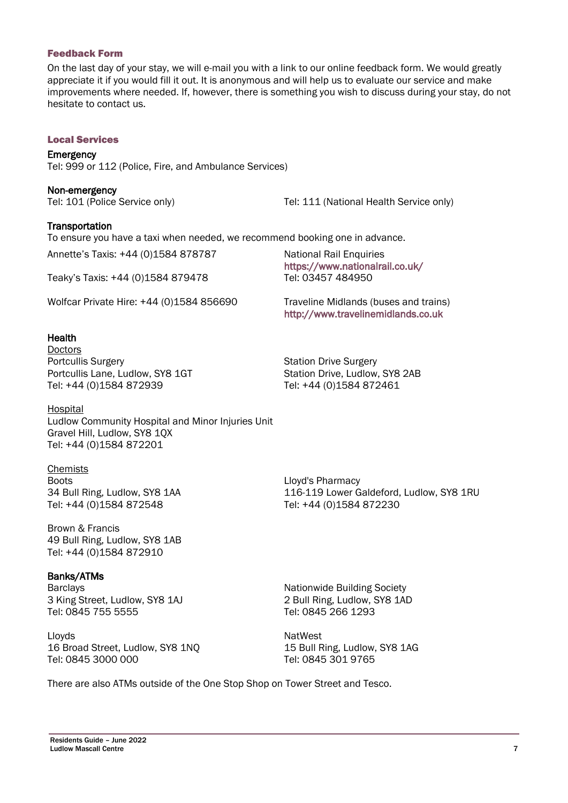#### <span id="page-6-6"></span>Feedback Form

On the last day of your stay, we will e-mail you with a link to our online feedback form. We would greatly appreciate it if you would fill it out. It is anonymous and will help us to evaluate our service and make improvements where needed. If, however, there is something you wish to discuss during your stay, do not hesitate to contact us.

#### <span id="page-6-5"></span>Local Services

## <span id="page-6-4"></span>**Emergency**

Tel: 999 or 112 (Police, Fire, and Ambulance Services)

<span id="page-6-3"></span>

| Non-emergency |                               |
|---------------|-------------------------------|
|               | Tel: 101 (Police Service only |

ly) Tel: 111 (National Health Service only)

## <span id="page-6-2"></span>**Transportation**

To ensure you have a taxi when needed, we recommend booking one in advance.

Annette's Taxis: +44 (0)1584 878787

Teaky's Taxis: +44 (0)1584 879478

Wolfcar Private Hire: +44 (0)1584 856690

#### <span id="page-6-1"></span>**Health**

Doctors Portcullis Surgery Portcullis Lane, Ludlow, SY8 1GT Tel: +44 (0)1584 872939

Hospital Ludlow Community Hospital and Minor Injuries Unit Gravel Hill, Ludlow, SY8 1QX Tel: +44 (0)1584 872201

Chemists **Boots** 34 Bull Ring, Ludlow, SY8 1AA Tel: +44 (0)1584 872548

Brown & Francis 49 Bull Ring, Ludlow, SY8 1AB Tel: +44 (0)1584 872910

#### <span id="page-6-0"></span>Banks/ATMs

Barclays 3 King Street, Ludlow, SY8 1AJ Tel: 0845 755 5555

Lloyds 16 Broad Street, Ludlow, SY8 1NQ Tel: 0845 3000 000

National Rail Enquiries <https://www.nationalrail.co.uk/> Tel: 03457 484950

Traveline Midlands (buses and trains) [http://www.travelinemidlands.co.uk](http://www.travelinemidlands.co.uk/)

Station Drive Surgery Station Drive, Ludlow, SY8 2AB Tel: +44 (0)1584 872461

Lloyd's Pharmacy 116-119 Lower Galdeford, Ludlow, SY8 1RU Tel: +44 (0)1584 872230

Nationwide Building Society 2 Bull Ring, Ludlow, SY8 1AD Tel: 0845 266 1293

**NatWest** 15 Bull Ring, Ludlow, SY8 1AG Tel: 0845 301 9765

There are also ATMs outside of the One Stop Shop on Tower Street and Tesco.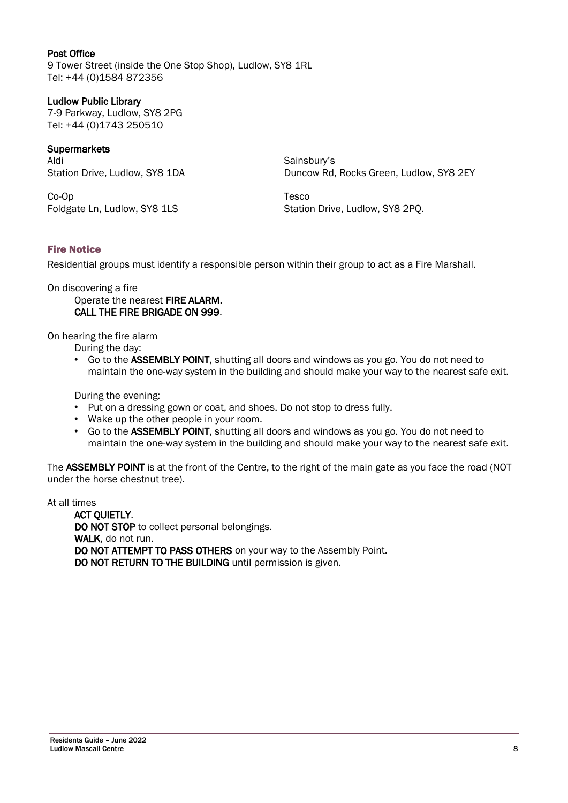<span id="page-7-2"></span>Post Office 9 Tower Street (inside the One Stop Shop), Ludlow, SY8 1RL Tel: +44 (0)1584 872356

## Ludlow Public Library

7-9 Parkway, Ludlow, SY8 2PG Tel: +44 (0)1743 250510

## <span id="page-7-1"></span>**Supermarkets**

Aldi Station Drive, Ludlow, SY8 1DA

Co-Op Foldgate Ln, Ludlow, SY8 1LS Sainsbury's Duncow Rd, Rocks Green, Ludlow, SY8 2EY

Tesco Station Drive, Ludlow, SY8 2PQ.

## <span id="page-7-0"></span>Fire Notice

Residential groups must identify a responsible person within their group to act as a Fire Marshall.

On discovering a fire

Operate the nearest FIRE ALARM. CALL THE FIRE BRIGADE ON 999.

On hearing the fire alarm

During the day:

• Go to the ASSEMBLY POINT, shutting all doors and windows as you go. You do not need to maintain the one-way system in the building and should make your way to the nearest safe exit.

During the evening:

- Put on a dressing gown or coat, and shoes. Do not stop to dress fully.
- Wake up the other people in your room.
- Go to the ASSEMBLY POINT, shutting all doors and windows as you go. You do not need to maintain the one-way system in the building and should make your way to the nearest safe exit.

The ASSEMBLY POINT is at the front of the Centre, to the right of the main gate as you face the road (NOT under the horse chestnut tree).

At all times

ACT QUIETLY. DO NOT STOP to collect personal belongings. WALK, do not run. DO NOT ATTEMPT TO PASS OTHERS on your way to the Assembly Point. DO NOT RETURN TO THE BUILDING until permission is given.